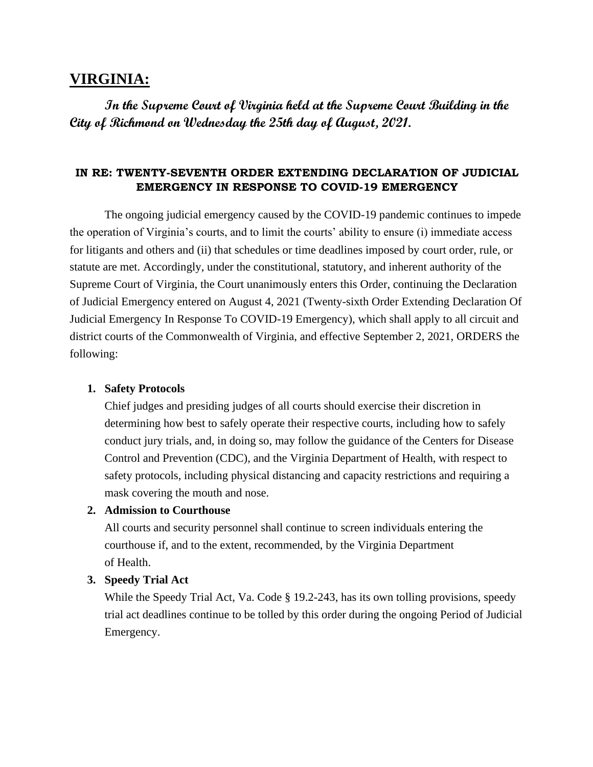# **VIRGINIA:**

**In the Supreme Court of Virginia held at the Supreme Court Building in the City of Richmond on Wednesday the 25th day of August, 2021.**

# **IN RE: TWENTY-SEVENTH ORDER EXTENDING DECLARATION OF JUDICIAL EMERGENCY IN RESPONSE TO COVID-19 EMERGENCY**

The ongoing judicial emergency caused by the COVID-19 pandemic continues to impede the operation of Virginia's courts, and to limit the courts' ability to ensure (i) immediate access for litigants and others and (ii) that schedules or time deadlines imposed by court order, rule, or statute are met. Accordingly, under the constitutional, statutory, and inherent authority of the Supreme Court of Virginia, the Court unanimously enters this Order, continuing the Declaration of Judicial Emergency entered on August 4, 2021 (Twenty-sixth Order Extending Declaration Of Judicial Emergency In Response To COVID-19 Emergency), which shall apply to all circuit and district courts of the Commonwealth of Virginia, and effective September 2, 2021, ORDERS the following:

#### **1. Safety Protocols**

Chief judges and presiding judges of all courts should exercise their discretion in determining how best to safely operate their respective courts, including how to safely conduct jury trials, and, in doing so, may follow the guidance of the Centers for Disease Control and Prevention (CDC), and the Virginia Department of Health, with respect to safety protocols, including physical distancing and capacity restrictions and requiring a mask covering the mouth and nose.

#### **2. Admission to Courthouse**

All courts and security personnel shall continue to screen individuals entering the courthouse if, and to the extent, recommended, by the Virginia Department of Health.

## **3. Speedy Trial Act**

While the Speedy Trial Act, Va. Code § 19.2-243, has its own tolling provisions, speedy trial act deadlines continue to be tolled by this order during the ongoing Period of Judicial Emergency.